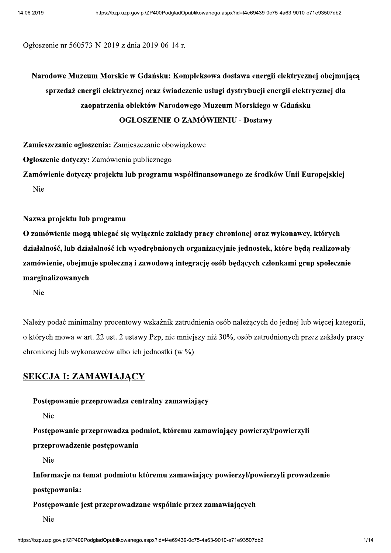Ogłoszenie nr 560573-N-2019 z dnia 2019-06-14 r.

https://bzp.uzp.gov.pl/ZP400PodgladOpublikowanego.aspx?id=f4e69439-0c75-4a63-9010-e71e93507db2<br>
Ogłoszcnic nr 560573-N-2019 z dnia 2019-06-14 r.<br>
Narodowe Muzeum Morskie w Gdańsku: Kompleksowa dostawa energii elektrycznej Heroszenie nr 5605/3-N-2019 z dnia 2019-06-14 r.<br>
Narodowe Muzeum Morskie w Gdańsku: Kompleksowa dostawa energii elektrycznej obejmują<br>
sprzedaż energii elektrycznej oraz świadczenie usługi dystrybucji energii elektrycznej

Zamieszczanie ogłoszenia: Zamieszczanie obowiązkowe<br>Ogłoszenie dotyczy: Zamówienia publicznego<br>Zamówienie dotyczy projektu lub programu współfinansowanego ze środków Unii Europejskiej<br>Nic<br>Nazwa projektu lub programu<br>O zamó

Należy podać minimalny procentowy wskaźnik zatrudnienia osób należacych do jednej lub wiecej kategorii. o których mowa w art. 22 ust. 2 ustawy Pzp, nie mniejszy niż 30%, osób zatrudnionych przez zakłady pracy chronionej lub wykonawców albo ich jednostki (w %)

### SEKCJA I: ZAMAWIAJĄCY

### Postępowanie przeprowadza centralny zamawiający

Nie

Postępowanie przeprowadza podmiot, któremu zamawiający powierzył/powierzyli

przeprowadzenie postępowania

Nie

Informacje na temat podmiotu któremu zamawiający powierzył/powierzyli prowadzenie

postępowania:

Postępowanie jest przeprowadzane wspólnie przez zamawiających

Nie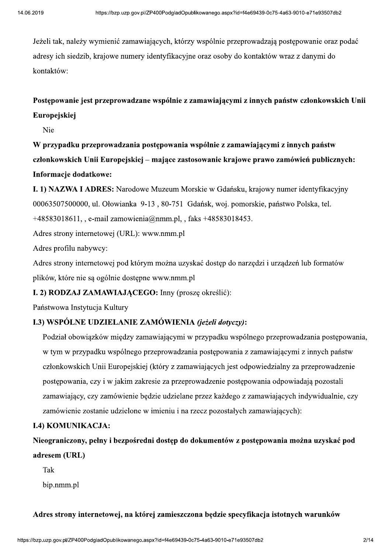Jeżeli tak, należy wymienić zamawiających, którzy wspólnie przeprowadzają postępowanie oraz podać adresy ich siedzib, krajowe numery identyfikacyjne oraz osoby do kontaktów wraz z danymi do kontaktów:

### Postępowanie jest przeprowadzane wspólnie z zamawiającymi z innych państw członkowskich Unii Europejskiej

Nie

W przypadku przeprowadzania postępowania wspólnie z zamawiającymi z innych państw członkowskich Unii Europejskiej – mające zastosowanie krajowe prawo zamówień publicznych: Informacje dodatkowe:

I. 1) NAZWA I ADRES: Narodowe Muzeum Morskie w Gdańsku, krajowy numer identyfikacyjny 00063507500000, ul. Ołowianka 9-13, 80-751 Gdańsk, woj. pomorskie, państwo Polska, tel.

+48583018611, e-mail zamowienia@nmm.pl, , faks +48583018453.

Adres strony internetowej (URL): www.nmm.pl

Adres profilu nabywcy:

Adres strony internetowej pod którym można uzyskać dostep do narzedzi i urzadzeń lub formatów plików, które nie są ogólnie dostępne www.nmm.pl

### I. 2) RODZAJ ZAMAWIAJĄCEGO: Inny (proszę określić):

Państwowa Instytucia Kultury

### I.3) WSPÓLNE UDZIELANIE ZAMÓWIENIA (jeżeli dotyczy):

Podział obowiązków między zamawiającymi w przypadku wspólnego przeprowadzania postępowania, w tym w przypadku wspólnego przeprowadzania postępowania z zamawiającymi z innych państw członkowskich Unii Europejskiej (który z zamawiających jest odpowiedzialny za przeprowadzenie postępowania, czy i w jakim zakresie za przeprowadzenie postępowania odpowiadają pozostali zamawiający, czy zamówienie będzie udzielane przez każdego z zamawiających indywidualnie, czy zamówienie zostanie udzielone w imieniu i na rzecz pozostałych zamawiających):

### **I.4) KOMUNIKACJA:**

Nieograniczony, pełny i bezpośredni dostęp do dokumentów z postępowania można uzyskać pod adresem (URL)

Tak

bip.nmm.pl

### Adres strony internetowej, na której zamieszczona będzie specyfikacja istotnych warunków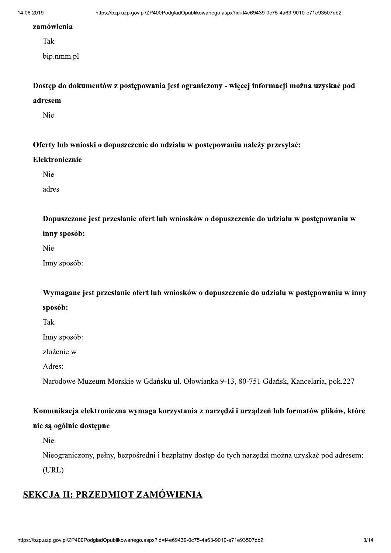14.06.2019 https://<br> **zamówienia**<br>
Tak<br>
bip.nmm.pl<br> **Dostęp do dokumentów**<br> **adresem** :https://bzc.uzp.gov.pl/ZP400PodgladOpublikowanego.aspx?id=f4e69439-0c75-4a63-9010-e71e93507db2<br>2amówienia<br>Tak<br>Dostęp do dokumentów z postępowania jest ograniczony - więcej informacji można uzyskać pod<br>adresem<br>Nie<br>Oferty l Dostęp do dokumentów z postępowania jest ograniczony - więcej informacji można uzyskać pod<br>
adresem<br>
Nie<br>
Oferty lub wnioski o dopuszczenie do udziału w postępowaniu należy przesyłać:<br>
Elektronicznie<br>
Nie<br>
adres<br>
Dopuszczo

:<br>Oferty lub wnioski o dopuszczenie do udziału w postępowaniu należy przesyłać:<br>Elektronicznie<br>Nie<br>adres<br>Dopuszczone jest przesłanie ofert lub wniosków o dopuszczenie do udziału w postępowaniu w<br>inny sposób:<br>Wymagane jest

Dopuszczone jest przesłanie ofert lub wniosków o dopuszczenie do udziału w postępowaniu w<br>
inny sposób:<br>
Nie<br>
Imny sposób:<br>
Wymagane jest przesłanie ofert lub wniosków o dopuszczenie do udziału w postępowaniu w inny<br>
sposó

Narodowe Muzeum Morskie w Gdańsku ul. Ołowianka 9-13, 80-751 Gdańsk, Kancelaria, pok.227

# the Homes:<br>
Harodowe Muzeum Morskie w Gdańsku ul. Ołowianka 9-13, 80-751 Gdańsk, Kancelaria, pok.227<br> **Komunikacja elektroniczna wymaga korzystania z narzędzi i urządzeń lub formatów plików, które<br>
nie są ogólnie dostępne<br>**

### SEKCJA II: PRZEDMIOT ZAMÓWIENIA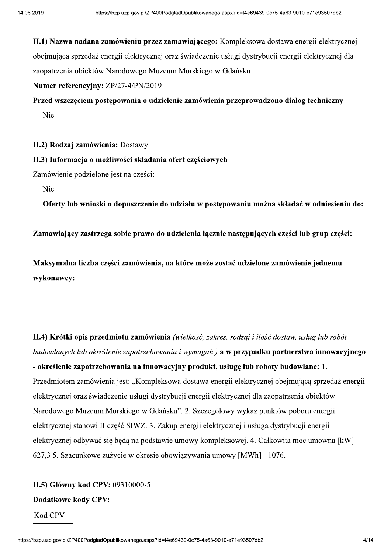II.1) Nazwa nadana zamówieniu przez zamawiającego: Kompleksowa dostawa energii elektrycznej obejmującą sprzedaż energii elektrycznej oraz świadczenie usługi dystrybucji energii elektrycznej dla zaopatrzenia obiektów Narodowego Muzeum Morskiego w Gdańsku

Numer referencyjny: ZP/27-4/PN/2019

Przed wszczęciem postępowania o udzielenie zamówienia przeprowadzono dialog techniczny Nie

II.2) Rodzaj zamówienia: Dostawy

II.3) Informacja o możliwości składania ofert częściowych

Zamówienie podzielone jest na części:

**Nie** 

Oferty lub wnioski o dopuszczenie do udziału w postępowaniu można składać w odniesieniu do:

Zamawiający zastrzega sobie prawo do udzielenia łącznie następujących części lub grup części:

Maksymalna liczba cześci zamówienia, na które może zostać udzielone zamówienie jednemu wykonawcy:

II.4) Krótki opis przedmiotu zamówienia (wielkość, zakres, rodzaj i ilość dostaw, usług lub robót budowlanych lub określenie zapotrzebowania i wymagań) a w przypadku partnerstwa innowacyjnego - określenie zapotrzebowania na innowacyjny produkt, usługę lub roboty budowlane: 1. Przedmiotem zamówienia jest: "Kompleksowa dostawa energii elektrycznej obejmującą sprzedaż energii elektrycznej oraz świadczenie usługi dystrybucji energii elektrycznej dla zaopatrzenia obiektów Narodowego Muzeum Morskiego w Gdańsku". 2. Szczegółowy wykaz punktów poboru energii elektrycznej stanowi II część SIWZ. 3. Zakup energii elektrycznej i usługa dystrybucji energii elektrycznej odbywać się będą na podstawie umowy kompleksowej. 4. Całkowita moc umowna [kW] 627,3 5. Szacunkowe zużycie w okresie obowiązywania umowy [MWh] - 1076.

### II.5) Główny kod CPV: 09310000-5

### **Dodatkowe kody CPV:**

**Kod CPV**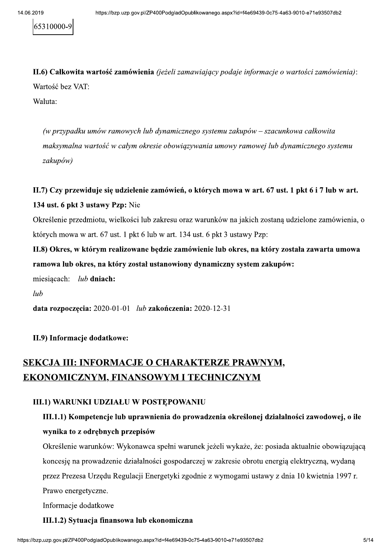65310000-9

II.6) Całkowita wartość zamówienia (jeżeli zamawiający podaje informacje o wartości zamówienia): Wartość bez VAT:

Waluta:

(w przypadku umów ramowych lub dynamicznego systemu zakupów – szacunkowa całkowita maksymalna wartość w całym okresie obowiązywania umowy ramowej lub dynamicznego systemu zakupów)

II.7) Czy przewiduje się udzielenie zamówień, o których mowa w art. 67 ust. 1 pkt 6 i 7 lub w art.

### 134 ust. 6 pkt 3 ustawy Pzp: Nie

Określenie przedmiotu, wielkości lub zakresu oraz warunków na jakich zostaną udzielone zamówienia, o których mowa w art. 67 ust. 1 pkt 6 lub w art. 134 ust. 6 pkt 3 ustawy Pzp:

II.8) Okres, w którym realizowane będzie zamówienie lub okres, na który została zawarta umowa ramowa lub okres, na który został ustanowiony dynamiczny system zakupów:

miesiacach:  $lub$  dniach:

 $lub$ 

data rozpoczęcia: 2020-01-01 lub zakończenia: 2020-12-31

### II.9) Informacje dodatkowe:

## SEKCJA III: INFORMACJE O CHARAKTERZE PRAWNYM, EKONOMICZNYM, FINANSOWYM I TECHNICZNYM

### **III.1) WARUNKI UDZIAŁU W POSTEPOWANIU**

### III.1.1) Kompetencje lub uprawnienia do prowadzenia określonej działalności zawodowej, o ile wynika to z odrębnych przepisów

Określenie warunków: Wykonawca spełni warunek jeżeli wykaże, że: posiada aktualnie obowiązującą koncesję na prowadzenie działalności gospodarczej w zakresie obrotu energią elektryczną, wydaną przez Prezesa Urzędu Regulacji Energetyki zgodnie z wymogami ustawy z dnia 10 kwietnia 1997 r. Prawo energetyczne.

Informacje dodatkowe

### III.1.2) Sytuacja finansowa lub ekonomiczna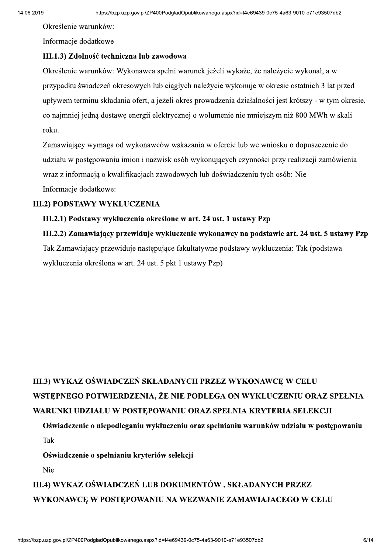Określenie warunków:

Informacje dodatkowe

### III.1.3) Zdolność techniczna lub zawodowa

Określenie warunków: Wykonawca spełni warunek jeżeli wykaże, że należycie wykonał, a w przypadku świadczeń okresowych lub ciągłych należycie wykonuje w okresie ostatnich 3 lat przed upływem terminu składania ofert, a jeżeli okres prowadzenia działalności jest krótszy - w tym okresie, co najmniej jedna dostawe energii elektrycznej o wolumenie nie mniejszym niż 800 MWh w skali roku.

Zamawiający wymaga od wykonawców wskazania w ofercie lub we wniosku o dopuszczenie do udziału w postępowaniu imion i nazwisk osób wykonujących czynności przy realizacji zamówienia wraz z informacją o kwalifikacjach zawodowych lub doświadczeniu tych osób: Nie Informacje dodatkowe:

### **III.2) PODSTAWY WYKLUCZENIA**

### III.2.1) Podstawy wykluczenia określone w art. 24 ust. 1 ustawy Pzp

III.2.2) Zamawiający przewiduje wykluczenie wykonawcy na podstawie art. 24 ust. 5 ustawy Pzp Tak Zamawiający przewiduje następujące fakultatywne podstawy wykluczenia: Tak (podstawa wykluczenia określona w art. 24 ust. 5 pkt 1 ustawy Pzp)

# III.3) WYKAZ OŚWIADCZEŃ SKŁADANYCH PRZEZ WYKONAWCE W CELU WSTEPNEGO POTWIERDZENIA, ŻE NIE PODLEGA ON WYKLUCZENIU ORAZ SPEŁNIA WARUNKI UDZIAŁU W POSTEPOWANIU ORAZ SPEŁNIA KRYTERIA SELEKCJI

### Oświadczenie o niepodleganiu wykluczeniu oraz spełnianiu warunków udziału w postępowaniu Tak

Oświadczenie o spełnianiu kryteriów selekcji

Nie

## III.4) WYKAZ OŚWIADCZEŃ LUB DOKUMENTÓW, SKŁADANYCH PRZEZ WYKONAWCE W POSTEPOWANIU NA WEZWANIE ZAMAWIAJACEGO W CELU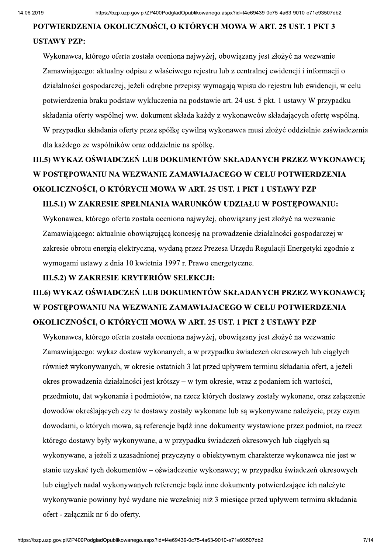### POTWIERDZENIA OKOLICZNOŚCI. O KTÓRYCH MOWA W ART. 25 UST. 1 PKT 3

### **USTAWY PZP:**

Wykonawca, którego oferta została oceniona najwyżej, obowiązany jest złożyć na wezwanie Zamawiającego: aktualny odpisu z właściwego rejestru lub z centralnej ewidencji i informacji o działalności gospodarczej, jeżeli odrębne przepisy wymagają wpisu do rejestru lub ewidencji, w celu potwierdzenia braku podstaw wykluczenia na podstawie art. 24 ust. 5 pkt. 1 ustawy W przypadku składania oferty wspólnej ww. dokument składa każdy z wykonawców składających ofertę wspólną. W przypadku składania oferty przez spółkę cywilną wykonawca musi złożyć oddzielnie zaświadczenia dla każdego ze wspólników oraz oddzielnie na spółkę.

# III.5) WYKAZ OŚWIADCZEŃ LUB DOKUMENTÓW SKŁADANYCH PRZEZ WYKONAWCE W POSTĘPOWANIU NA WEZWANIE ZAMAWIAJACEGO W CELU POTWIERDZENIA OKOLICZNOŚCI, O KTÓRYCH MOWA W ART. 25 UST. 1 PKT 1 USTAWY PZP III.5.1) W ZAKRESIE SPEŁNIANIA WARUNKÓW UDZIAŁU W POSTEPOWANIU:

Wykonawca, którego oferta została oceniona najwyżej, obowiązany jest złożyć na wezwanie Zamawiającego: aktualnie obowiązującą koncesję na prowadzenie działalności gospodarczej w zakresie obrotu energia elektryczna, wydana przez Prezesa Urzedu Regulacji Energetyki zgodnie z wymogami ustawy z dnia 10 kwietnia 1997 r. Prawo energetyczne.

### III.5.2) W ZAKRESIE KRYTERIÓW SELEKCJI:

# III.6) WYKAZ OŚWIADCZEŃ LUB DOKUMENTÓW SKŁADANYCH PRZEZ WYKONAWCE W POSTEPOWANIU NA WEZWANIE ZAMAWIAJACEGO W CELU POTWIERDZENIA OKOLICZNOŚCI, O KTÓRYCH MOWA W ART. 25 UST. 1 PKT 2 USTAWY PZP

Wykonawca, którego oferta została oceniona najwyżej, obowiazany jest złożyć na wezwanie Zamawiającego: wykaz dostaw wykonanych, a w przypadku świadczeń okresowych lub ciągłych również wykonywanych, w okresie ostatnich 3 lat przed upływem terminu składania ofert, a jeżeli okres prowadzenia działalności jest krótszy – w tym okresie, wraz z podaniem ich wartości, przedmiotu, dat wykonania i podmiotów, na rzecz których dostawy zostały wykonane, oraz załączenie dowodów określających czy te dostawy zostały wykonane lub są wykonywane należycie, przy czym dowodami, o których mowa, są referencje bądź inne dokumenty wystawione przez podmiot, na rzecz którego dostawy były wykonywane, a w przypadku świadczeń okresowych lub ciągłych są wykonywane, a jeżeli z uzasadnionej przyczyny o obiektywnym charakterze wykonawca nie jest w stanie uzyskać tych dokumentów – oświadczenie wykonawcy; w przypadku świadczeń okresowych lub ciągłych nadal wykonywanych referencje bądź inne dokumenty potwierdzające ich należyte wykonywanie powinny być wydane nie wcześniej niż 3 miesiace przed upływem terminu składania ofert - załącznik nr 6 do oferty.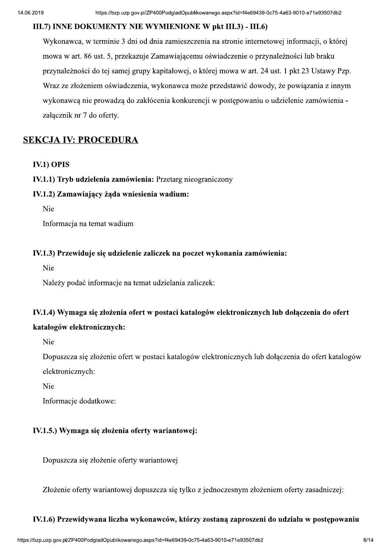### III.7) INNE DOKUMENTY NIE WYMIENIONE W pkt III.3) - III.6)

Wykonawca, w terminie 3 dni od dnia zamieszczenia na stronie internetowej informacji, o której mowa w art. 86 ust. 5, przekazuje Zamawiającemu oświadczenie o przynależności lub braku przynależności do tej samej grupy kapitałowej, o której mowa w art. 24 ust. 1 pkt 23 Ustawy Pzp. Wraz ze złożeniem oświadczenia, wykonawca może przedstawić dowody, że powiązania z innym wykonawcą nie prowadzą do zakłócenia konkurencji w postępowaniu o udzielenie zamówienia załącznik nr 7 do oferty.

### **SEKCJA IV: PROCEDURA**

### **IV.1) OPIS**

### IV.1.1) Tryb udzielenia zamówienia: Przetarg nieograniczony

### IV.1.2) Zamawiający żąda wniesienia wadium:

Nie

Informacja na temat wadium

### IV.1.3) Przewiduje się udzielenie zaliczek na poczet wykonania zamówienia:

Nie

Należy podać informacje na temat udzielania zaliczek:

### IV.1.4) Wymaga się złożenia ofert w postaci katalogów elektronicznych lub dołączenia do ofert

### katalogów elektronicznych:

Nie

Dopuszcza się złożenie ofert w postaci katalogów elektronicznych lub dołączenia do ofert katalogów elektronicznych:

Nie

Informacje dodatkowe:

### IV.1.5.) Wymaga się złożenia oferty wariantowej:

Dopuszcza się złożenie oferty wariantowej

Złożenie oferty wariantowej dopuszcza się tylko z jednoczesnym złożeniem oferty zasadniczej:

# szcza się tylko z jednoczesnym złożeniem oferty zasadniczej:<br> **nawców, którzy zostaną zaproszeni do udziału w postępowaniu**<br>
px?id=f4e69439-0c75-4a63-9010-e71e93507db2 8/14 IV.1.6) Przewidywana liczba wykonawców, którzy zostaną zaproszeni do udziału w postępowaniu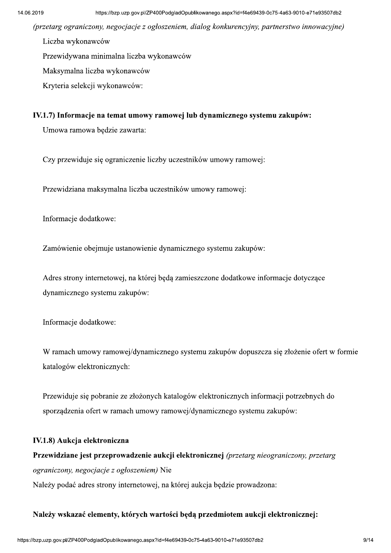(przetarg ograniczony, negocjacje z ogłoszeniem, dialog konkurencyjny, partnerstwo innowacyjne)

Liczba wykonawców

Przewidywana minimalna liczba wykonawców

Maksymalna liczba wykonawców

Kryteria selekcji wykonawców:

### IV.1.7) Informacje na temat umowy ramowej lub dynamicznego systemu zakupów:

Umowa ramowa będzie zawarta:

Czy przewiduje się ograniczenie liczby uczestników umowy ramowej:

Przewidziana maksymalna liczba uczestników umowy ramowej:

Informacje dodatkowe:

Zamówienie obejmuje ustanowienie dynamicznego systemu zakupów:

Adres strony internetowej, na której będą zamieszczone dodatkowe informacje dotyczące dynamicznego systemu zakupów:

Informacje dodatkowe:

W ramach umowy ramowej/dynamicznego systemu zakupów dopuszcza się złożenie ofert w formie katalogów elektronicznych:

Przewiduje się pobranie ze złożonych katalogów elektronicznych informacji potrzebnych do sporządzenia ofert w ramach umowy ramowej/dynamicznego systemu zakupów:

### IV.1.8) Aukcja elektroniczna

Przewidziane jest przeprowadzenie aukcji elektronicznej (przetarg nieograniczony, przetarg ograniczony, negocjacje z ogłoszeniem) Nie

Należy podać adres strony internetowej, na której aukcja będzie prowadzona:

### Należy wskazać elementy, których wartości będą przedmiotem aukcji elektronicznej: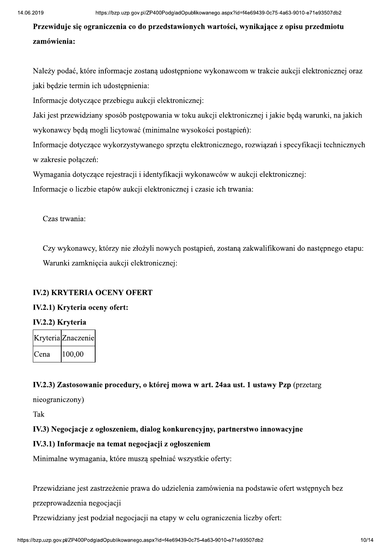https://bzp.uzp.gov.pl/ZP400PodgladOpublikowanego.aspx?id=14e69439-0c75-4a63-9010-e71e93507db2<br>
Przewiduje się ograniczenia co do przedstawionych wartości, wynikające z opisu przedmiotu<br>
zamówienia:<br>
Należy podać, które in

Należy podać, które informacje zostana udostepnione wykonawcom w trakcie aukcji elektronicznej oraz jaki będzie termin ich udostępnienia:

Informacje dotyczące przebiegu aukcji elektronicznej:

Jaki jest przewidziany sposób postępowania w toku aukcji elektronicznej i jakie będą warunki, na jakich wykonawcy będą mogli licytować (minimalne wysokości postąpień):

Informacje dotyczące wykorzystywanego sprzętu elektronicznego, rozwiązań i specyfikacji technicznych w zakresie połączeń:

Wymagania dotyczące rejestracji i identyfikacji wykonawców w aukcji elektronicznej:

Informacje o liczbie etapów aukcji elektronicznej i czasie ich trwania:

Czas trwania:

Czy wykonawcy, którzy nie złożyli nowych postapień, zostana zakwalifikowani do nastepnego etapu: Warunki zamkniecia aukcii elektronicznei:

### IV.2) KRYTERIA OCENY OFERT

### IV.2.1) Kryteria oceny ofert:

### IV.2.2) Krvteria

|        | Kryteria Znaczenie |
|--------|--------------------|
| IC ena | 100,00             |

# IV.2.2) Kryteria<br>
Kryteria<br>
Zena (100,00)<br>
IV.2.3) Zastosowanie procedury, o której mowa w art. 24aa ust. 1 ustawy Pzp (przetarg<br>
nieograniczony)<br>
Tak<br>
IV.3) Negocjacje z ogłoszeniem, dialog konkurencyjny, partnerstwo inno

Przewidziane jest zastrzeżenie prawa do udzielenia zamówienia na podstawie ofert wstępnych bez

przeprowadzenia negocjacji

Przewidziany jest podział negocjacji na etapy w celu ograniczenia liczby ofert: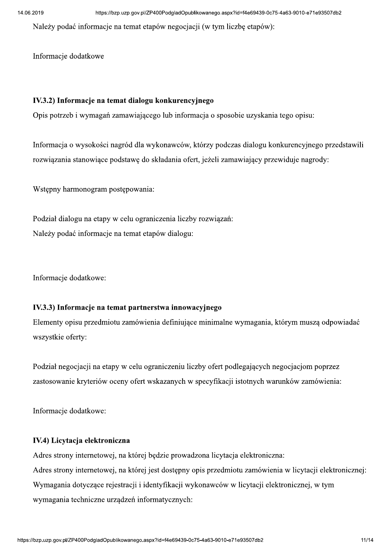Należy podać informacje na temat etapów negocjacji (w tym liczbę etapów):

Informacje dodatkowe

### IV.3.2) Informacje na temat dialogu konkurencyjnego

Opis potrzeb i wymagań zamawiającego lub informacja o sposobie uzyskania tego opisu:

Informacja o wysokości nagród dla wykonawców, którzy podczas dialogu konkurencyjnego przedstawili rozwiązania stanowiące podstawę do składania ofert, jeżeli zamawiający przewiduje nagrody:

Wstępny harmonogram postępowania:

Podział dialogu na etapy w celu ograniczenia liczby rozwiązań: Należy podać informacje na temat etapów dialogu:

Informacje dodatkowe:

### IV.3.3) Informacje na temat partnerstwa innowacyjnego

Elementy opisu przedmiotu zamówienia definiujące minimalne wymagania, którym muszą odpowiadać wszystkie oferty:

Podział negocjacji na etapy w celu ograniczeniu liczby ofert podlegających negocjacjom poprzez zastosowanie kryteriów oceny ofert wskazanych w specyfikacji istotnych warunków zamówienia:

Informacje dodatkowe:

### IV.4) Licytacja elektroniczna

Adres strony internetowej, na której będzie prowadzona licytacja elektroniczna: Adres strony internetowej, na której jest dostępny opis przedmiotu zamówienia w licytacji elektronicznej: Wymagania dotyczące rejestracji i identyfikacji wykonawców w licytacji elektronicznej, w tym wymagania techniczne urządzeń informatycznych: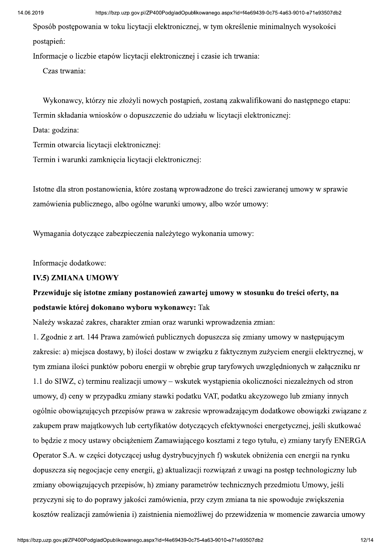Sposób postępowania w toku licytacji elektronicznej, w tym określenie minimalnych wysokości postapień:

Informacje o liczbie etapów licytacji elektronicznej i czasie ich trwania:

Czas trwania:

Wykonawcy, którzy nie złożyli nowych postąpień, zostaną zakwalifikowani do następnego etapu: Termin składania wniosków o dopuszczenie do udziału w licytacji elektronicznej:

Data: godzina:

Termin otwarcia licytacji elektronicznej:

Termin i warunki zamknięcia licytacji elektronicznej:

Istotne dla stron postanowienia, które zostaną wprowadzone do treści zawieranej umowy w sprawie zamówienia publicznego, albo ogólne warunki umowy, albo wzór umowy:

Wymagania dotyczące zabezpieczenia należytego wykonania umowy:

Informacie dodatkowe:

### **IV.5) ZMIANA UMOWY**

### Przewiduje się istotne zmiany postanowień zawartej umowy w stosunku do treści oferty, na podstawie której dokonano wyboru wykonawcy: Tak

Należy wskazać zakres, charakter zmian oraz warunki wprowadzenia zmian:

1. Zgodnie z art. 144 Prawa zamówień publicznych dopuszcza się zmiany umowy w następującym zakresie: a) miejsca dostawy, b) ilości dostaw w związku z faktycznym zużyciem energii elektrycznej, w tym zmiana ilości punktów poboru energii w obrębie grup taryfowych uwzględnionych w załączniku nr 1.1 do SIWZ, c) terminu realizacji umowy – wskutek wystąpienia okoliczności niezależnych od stron umowy, d) ceny w przypadku zmiany stawki podatku VAT, podatku akcyzowego lub zmiany innych ogólnie obowiązujących przepisów prawa w zakresie wprowadzającym dodatkowe obowiązki związane z zakupem praw majątkowych lub certyfikatów dotyczących efektywności energetycznej, jeśli skutkować to będzie z mocy ustawy obciążeniem Zamawiającego kosztami z tego tytułu, e) zmiany taryfy ENERGA Operator S.A. w części dotyczącej usług dystrybucyjnych f) wskutek obniżenia cen energii na rynku dopuszcza się negocjacje ceny energii, g) aktualizacji rozwiązań z uwagi na postęp technologiczny lub zmiany obowiązujących przepisów, h) zmiany parametrów technicznych przedmiotu Umowy, jeśli przyczyni się to do poprawy jakości zamówienia, przy czym zmiana ta nie spowoduje zwiększenia kosztów realizacji zamówienia i) zaistnienia niemożliwej do przewidzenia w momencie zawarcia umowy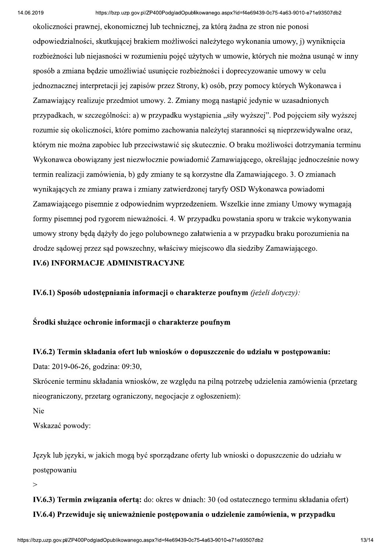okoliczności prawnej, ekonomicznej lub technicznej, za która żadna ze stron nie ponosi odpowiedzialności, skutkującej brakiem możliwości należytego wykonania umowy, j) wyniknięcia rozbieżności lub niejasności w rozumieniu pojęć użytych w umowie, których nie można usunać w inny sposób a zmiana bedzie umożliwiać usuniecie rozbieżności i doprecyzowanie umowy w celu jednoznacznej interpretacji jej zapisów przez Strony, k) osób, przy pomocy których Wykonawca i Zamawiający realizuje przedmiot umowy. 2. Zmiany mogą nastąpić jedynie w uzasadnionych przypadkach, w szczególności: a) w przypadku wystąpienia "siły wyższej". Pod pojęciem siły wyższej rozumie się okoliczności, które pomimo zachowania należytej staranności są nieprzewidywalne oraz, którym nie można zapobiec lub przeciwstawić się skutecznie. O braku możliwości dotrzymania terminu Wykonawca obowiązany jest niezwłocznie powiadomić Zamawiającego, określając jednocześnie nowy termin realizacji zamówienia, b) gdy zmiany te są korzystne dla Zamawiającego. 3. O zmianach wynikających ze zmiany prawa i zmiany zatwierdzonej taryfy OSD Wykonawca powiadomi Zamawiającego pisemnie z odpowiednim wyprzedzeniem. Wszelkie inne zmiany Umowy wymagają formy pisemnej pod rygorem nieważności. 4. W przypadku powstania sporu w trakcie wykonywania umowy strony będą dążyły do jego polubownego załatwienia a w przypadku braku porozumienia na drodze sadowej przez sad powszechny, właściwy miejscowo dla siedziby Zamawiającego.

### **IV.6) INFORMACJE ADMINISTRACYJNE**

IV.6.1) Sposób udostepniania informacii o charakterze poufnym (jeżeli dotyczy):

Środki służace ochronie informacii o charakterze poufnym

### IV.6.2) Termin składania ofert lub wniosków o dopuszczenie do udziału w postepowaniu:

Data: 2019-06-26, godzina: 09:30,

Skrócenie terminu składania wniosków, ze względu na pilną potrzebę udzielenia zamówienia (przetarg nieograniczony, przetarg ograniczony, negocjacje z ogłoszeniem):

Nie

Wskazać powody:

Język lub języki, w jakich mogą być sporządzane oferty lub wnioski o dopuszczenie do udziału w postępowaniu

 $\geq$ 

IV.6.3) Termin zwiazania oferta: do: okres w dniach: 30 (od ostatecznego terminu składania ofert) IV.6.4) Przewiduje się unieważnienie postępowania o udzielenie zamówienia, w przypadku